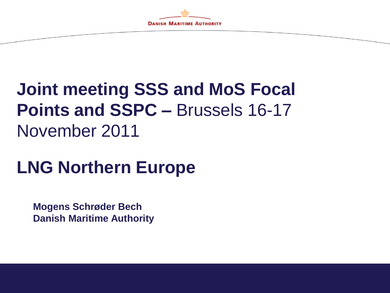

# **Joint meeting SSS and MoS Focal Points and SSPC –** Brussels 16-17 November 2011

# **LNG Northern Europe**

**Mogens Schrøder Bech Danish Maritime Authority**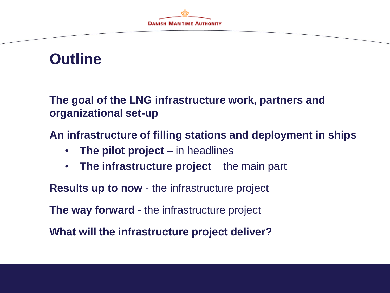

## **Outline**

**The goal of the LNG infrastructure work, partners and organizational set-up**

**An infrastructure of filling stations and deployment in ships**

- The pilot project in headlines
- The infrastructure project the main part

**Results up to now** - the infrastructure project

**The way forward** - the infrastructure project

**What will the infrastructure project deliver?**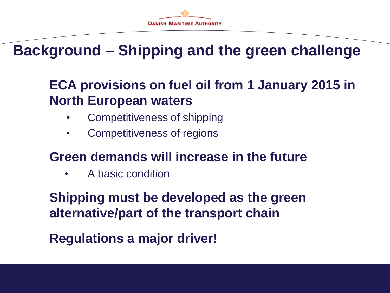

# **Background – Shipping and the green challenge**

### **ECA provisions on fuel oil from 1 January 2015 in North European waters**

- Competitiveness of shipping
- Competitiveness of regions

### **Green demands will increase in the future**

• A basic condition

**Shipping must be developed as the green alternative/part of the transport chain**

**Regulations a major driver!**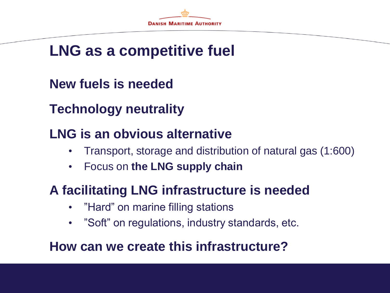

# **LNG as a competitive fuel**

**New fuels is needed**

**Technology neutrality**

### **LNG is an obvious alternative**

- Transport, storage and distribution of natural gas (1:600)
- Focus on **the LNG supply chain**

### **A facilitating LNG infrastructure is needed**

- "Hard" on marine filling stations
- "Soft" on regulations, industry standards, etc.

### **How can we create this infrastructure?**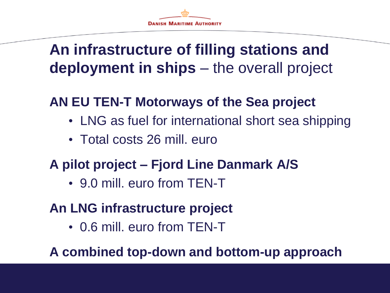# **An infrastructure of filling stations and deployment in ships** – the overall project

## **AN EU TEN-T Motorways of the Sea project**

- LNG as fuel for international short sea shipping
- Total costs 26 mill. euro

### **A pilot project – Fjord Line Danmark A/S**

• 9.0 mill. euro from TEN-T

### **An LNG infrastructure project**

• 0.6 mill. euro from TEN-T

**A combined top-down and bottom-up approach**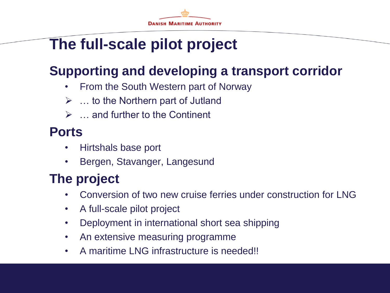# **The full-scale pilot project**

## **Supporting and developing a transport corridor**

- From the South Western part of Norway
- $\triangleright$  ... to the Northern part of Jutland
- $\triangleright$   $\ldots$  and further to the Continent

### **Ports**

- Hirtshals base port
- Bergen, Stavanger, Langesund

## **The project**

- Conversion of two new cruise ferries under construction for LNG
- A full-scale pilot project
- Deployment in international short sea shipping
- An extensive measuring programme
- A maritime LNG infrastructure is needed!!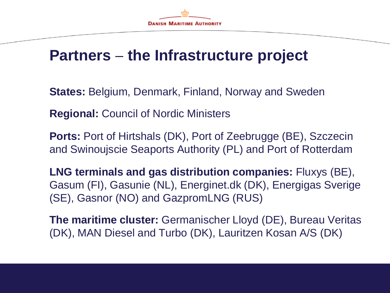# **Partners the Infrastructure project**

**States:** Belgium, Denmark, Finland, Norway and Sweden

**Regional:** Council of Nordic Ministers

**Ports:** Port of Hirtshals (DK), Port of Zeebrugge (BE), Szczecin and Swinoujscie Seaports Authority (PL) and Port of Rotterdam

**LNG terminals and gas distribution companies:** Fluxys (BE), Gasum (FI), Gasunie (NL), Energinet.dk (DK), Energigas Sverige (SE), Gasnor (NO) and GazpromLNG (RUS)

**The maritime cluster:** Germanischer Lloyd (DE), Bureau Veritas (DK), MAN Diesel and Turbo (DK), Lauritzen Kosan A/S (DK)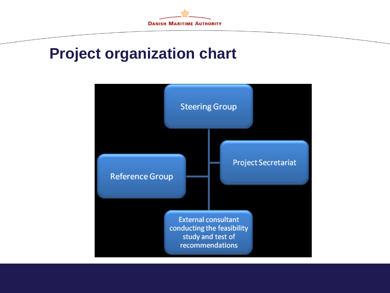

### **Project organization chart**

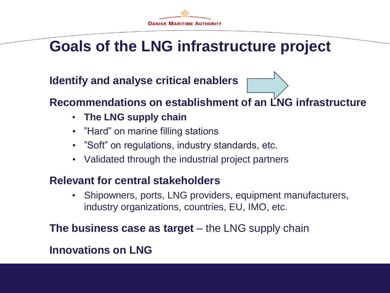

# **Goals of the LNG infrastructure project**

**Identify and analyse critical enablers**

### **Recommendations on establishment of an LNG infrastructure**

- **The LNG supply chain**
- "Hard" on marine filling stations
- "Soft" on regulations, industry standards, etc.
- Validated through the industrial project partners

#### **Relevant for central stakeholders**

• Shipowners, ports, LNG providers, equipment manufacturers, industry organizations, countries, EU, IMO, etc.

**The business case as target** – the LNG supply chain

### **Innovations on LNG**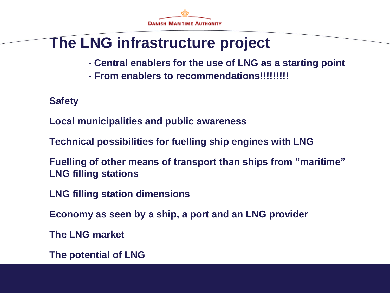

# **The LNG infrastructure project**

- **- Central enablers for the use of LNG as a starting point**
- **- From enablers to recommendations!!!!!!!!!**

**Safety**

**Local municipalities and public awareness**

**Technical possibilities for fuelling ship engines with LNG**

**Fuelling of other means of transport than ships from "maritime" LNG filling stations**

**LNG filling station dimensions**

**Economy as seen by a ship, a port and an LNG provider**

**The LNG market**

**The potential of LNG**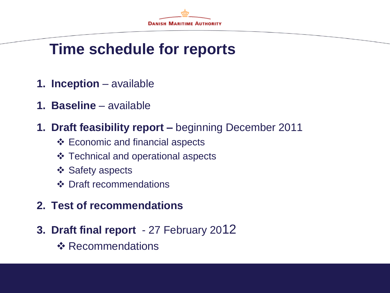

## **Time schedule for reports**

- **1. Inception** available
- **1. Baseline**  available
- **1. Draft feasibility report –** beginning December 2011
	- Economic and financial aspects
	- **❖** Technical and operational aspects
	- ❖ Safety aspects
	- ❖ Draft recommendations
- **2. Test of recommendations**
- **3. Draft final report**  27 February 2012
	- ❖ Recommendations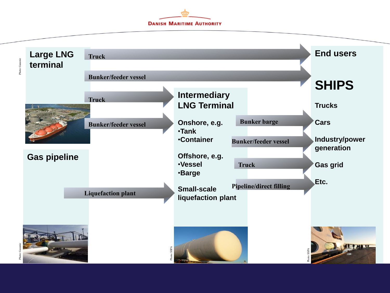**DANISH MARITIME AUTHORITY** 

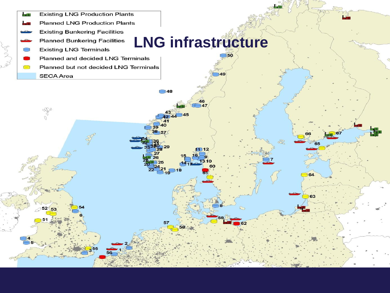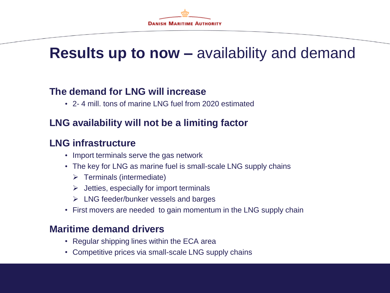

## **Results up to now –** availability and demand

#### **The demand for LNG will increase**

• 2- 4 mill. tons of marine LNG fuel from 2020 estimated

### **LNG availability will not be a limiting factor**

### **LNG infrastructure**

- Import terminals serve the gas network
- The key for LNG as marine fuel is small-scale LNG supply chains
	- $\triangleright$  Terminals (intermediate)
	- $\triangleright$  Jetties, especially for import terminals
	- $\triangleright$  LNG feeder/bunker vessels and barges
- First movers are needed to gain momentum in the LNG supply chain

#### **Maritime demand drivers**

- Regular shipping lines within the ECA area
- Competitive prices via small-scale LNG supply chains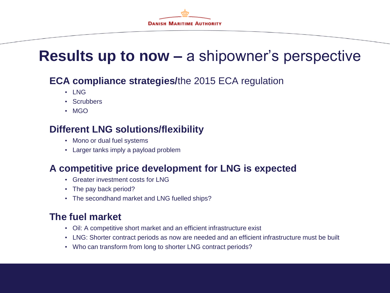

# **Results up to now –** a shipowner's perspective

#### **ECA compliance strategies/**the 2015 ECA regulation

- LNG
- Scrubbers
- MGO

### **Different LNG solutions/flexibility**

- Mono or dual fuel systems
- Larger tanks imply a payload problem

#### **A competitive price development for LNG is expected**

- Greater investment costs for LNG
- The pay back period?
- The secondhand market and LNG fuelled ships?

#### **The fuel market**

- Oil: A competitive short market and an efficient infrastructure exist
- LNG: Shorter contract periods as now are needed and an efficient infrastructure must be built
- Who can transform from long to shorter LNG contract periods?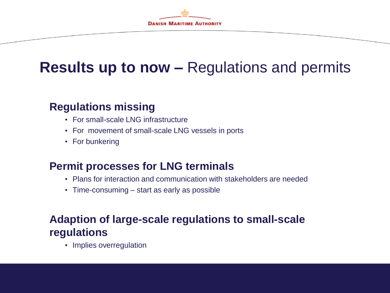

# **Results up to now –** Regulations and permits

### **Regulations missing**

- For small-scale LNG infrastructure
- For movement of small-scale LNG vessels in ports
- For bunkering

#### **Permit processes for LNG terminals**

- Plans for interaction and communication with stakeholders are needed
- Time-consuming start as early as possible

### **Adaption of large-scale regulations to small-scale regulations**

• Implies overregulation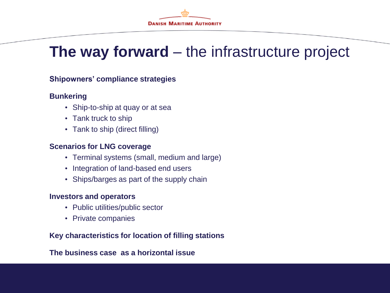

# **The way forward** – the infrastructure project

#### **Shipowners' compliance strategies**

#### **Bunkering**

- Ship-to-ship at quay or at sea
- Tank truck to ship
- Tank to ship (direct filling)

#### **Scenarios for LNG coverage**

- Terminal systems (small, medium and large)
- Integration of land-based end users
- Ships/barges as part of the supply chain

#### **Investors and operators**

- Public utilities/public sector
- Private companies

#### **Key characteristics for location of filling stations**

#### **The business case as a horizontal issue**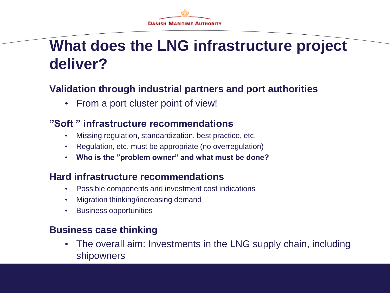# **What does the LNG infrastructure project deliver?**

### **Validation through industrial partners and port authorities**

• From a port cluster point of view!

#### **"Soft " infrastructure recommendations**

- Missing regulation, standardization, best practice, etc.
- Regulation, etc. must be appropriate (no overregulation)
- **Who is the "problem owner" and what must be done?**

#### **Hard infrastructure recommendations**

- Possible components and investment cost indications
- Migration thinking/increasing demand
- Business opportunities

#### **Business case thinking**

• The overall aim: Investments in the LNG supply chain, including shipowners